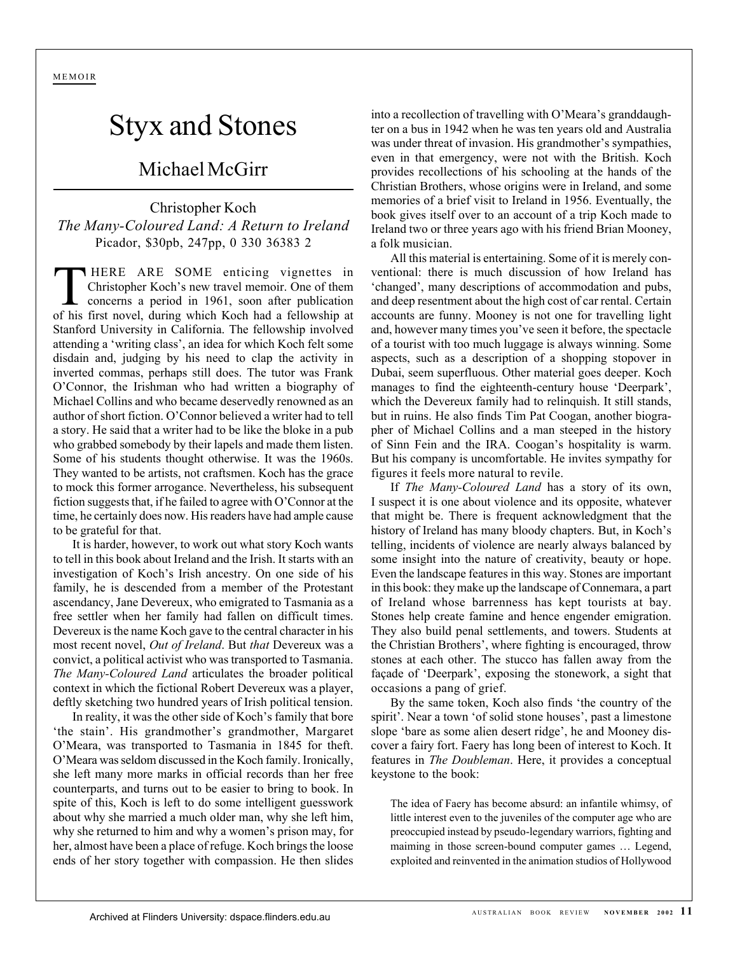MEMOIR

## Styx and Stones

## Michael McGirr

## Christopher Koch *The Many-Coloured Land: A Return to Ireland* Picador, \$30pb, 247pp, 0 330 36383 2

T HERE ARE SOME enticing vignettes in<br>Christopher Koch's new travel memoir. One of them<br>concerns a period in 1961, soon after publication<br>of his first novel during which Koch had a fellowship at Christopher Koch's new travel memoir. One of them of his first novel, during which Koch had a fellowship at Stanford University in California. The fellowship involved attending a 'writing class', an idea for which Koch felt some disdain and, judging by his need to clap the activity in inverted commas, perhaps still does. The tutor was Frank O'Connor, the Irishman who had written a biography of Michael Collins and who became deservedly renowned as an author of short fiction. O'Connor believed a writer had to tell a story. He said that a writer had to be like the bloke in a pub who grabbed somebody by their lapels and made them listen. Some of his students thought otherwise. It was the 1960s. They wanted to be artists, not craftsmen. Koch has the grace to mock this former arrogance. Nevertheless, his subsequent fiction suggests that, if he failed to agree with O'Connor at the time, he certainly does now. His readers have had ample cause to be grateful for that.

It is harder, however, to work out what story Koch wants to tell in this book about Ireland and the Irish. It starts with an investigation of Koch's Irish ancestry. On one side of his family, he is descended from a member of the Protestant ascendancy, Jane Devereux, who emigrated to Tasmania as a free settler when her family had fallen on difficult times. Devereux is the name Koch gave to the central character in his most recent novel, *Out of Ireland*. But *that* Devereux was a convict, a political activist who was transported to Tasmania. *The Many-Coloured Land* articulates the broader political context in which the fictional Robert Devereux was a player, deftly sketching two hundred years of Irish political tension.

In reality, it was the other side of Koch's family that bore 'the stain'. His grandmother's grandmother, Margaret O'Meara, was transported to Tasmania in 1845 for theft. O'Meara was seldom discussed in the Koch family. Ironically, she left many more marks in official records than her free counterparts, and turns out to be easier to bring to book. In spite of this, Koch is left to do some intelligent guesswork about why she married a much older man, why she left him, why she returned to him and why a women's prison may, for her, almost have been a place of refuge. Koch brings the loose ends of her story together with compassion. He then slides

into a recollection of travelling with O'Meara's granddaughter on a bus in 1942 when he was ten years old and Australia was under threat of invasion. His grandmother's sympathies, even in that emergency, were not with the British. Koch provides recollections of his schooling at the hands of the Christian Brothers, whose origins were in Ireland, and some memories of a brief visit to Ireland in 1956. Eventually, the book gives itself over to an account of a trip Koch made to Ireland two or three years ago with his friend Brian Mooney, a folk musician.

All this material is entertaining. Some of it is merely conventional: there is much discussion of how Ireland has 'changed', many descriptions of accommodation and pubs, and deep resentment about the high cost of car rental. Certain accounts are funny. Mooney is not one for travelling light and, however many times you've seen it before, the spectacle of a tourist with too much luggage is always winning. Some aspects, such as a description of a shopping stopover in Dubai, seem superfluous. Other material goes deeper. Koch manages to find the eighteenth-century house 'Deerpark', which the Devereux family had to relinquish. It still stands, but in ruins. He also finds Tim Pat Coogan, another biographer of Michael Collins and a man steeped in the history of Sinn Fein and the IRA. Coogan's hospitality is warm. But his company is uncomfortable. He invites sympathy for figures it feels more natural to revile.

If *The Many-Coloured Land* has a story of its own, I suspect it is one about violence and its opposite, whatever that might be. There is frequent acknowledgment that the history of Ireland has many bloody chapters. But, in Koch's telling, incidents of violence are nearly always balanced by some insight into the nature of creativity, beauty or hope. Even the landscape features in this way. Stones are important in this book: they make up the landscape of Connemara, a part of Ireland whose barrenness has kept tourists at bay. Stones help create famine and hence engender emigration. They also build penal settlements, and towers. Students at the Christian Brothers', where fighting is encouraged, throw stones at each other. The stucco has fallen away from the façade of 'Deerpark', exposing the stonework, a sight that occasions a pang of grief.

By the same token, Koch also finds 'the country of the spirit'. Near a town 'of solid stone houses', past a limestone slope 'bare as some alien desert ridge', he and Mooney discover a fairy fort. Faery has long been of interest to Koch. It features in *The Doubleman*. Here, it provides a conceptual keystone to the book:

The idea of Faery has become absurd: an infantile whimsy, of little interest even to the juveniles of the computer age who are preoccupied instead by pseudo-legendary warriors, fighting and maiming in those screen-bound computer games … Legend, exploited and reinvented in the animation studios of Hollywood